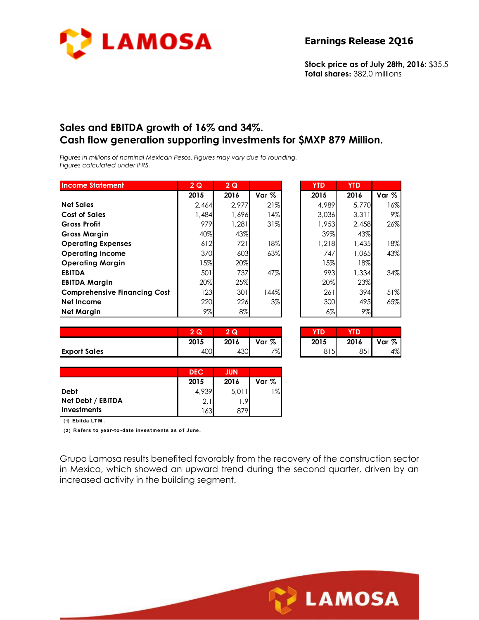

**Stock price as of July 28th, 2016:** \$35.5 **Total shares:** 382.0 millions

### **Sales and EBITDA growth of 16% and 34%. Cash flow generation supporting investments for \$MXP 879 Million.**

*Figures in millions of nominal Mexican Pesos. Figures may vary due to rounding. Figures calculated under IFRS.* 

| <b>Income Statement</b>      | 2Q     | 2Q    |         | <b>YTD</b> | <b>YTD</b> |       |
|------------------------------|--------|-------|---------|------------|------------|-------|
|                              | 2015   | 2016  | Var $%$ | 2015       | 2016       | Var % |
| <b>Net Sales</b>             | 2.464  | 2.977 | 21%     | 4,989      | 5.770      | 16%   |
| <b>Cost of Sales</b>         | 1,484  | 1,696 | 14%     | 3.036      | 3.311      | 9%    |
| <b>Gross Profit</b>          | 979    | 1.281 | 31%     | 1,953      | 2,458      | 26%   |
| <b>Gross Margin</b>          | 40%    | 43%   |         | 39%        | 43%        |       |
| <b>Operating Expenses</b>    | 612    | 721   | 18%     | 1,218      | 1,435      | 18%   |
| <b>Operating Income</b>      | 370    | 603   | 63%     | 747        | 1,065      | 43%   |
| <b>Operating Margin</b>      | $15\%$ | 20%   |         | 15%        | 18%        |       |
| <b>EBITDA</b>                | 501    | 737   | 47%     | 993        | 1,334      | 34%   |
| <b>EBITDA Margin</b>         | 20%    | 25%   |         | 20%        | 23%        |       |
| Comprehensive Financing Cost | 123    | 301   | 144%    | 261        | 394        | 51%   |
| <b>Net Income</b>            | 220    | 226   | $3\%$   | 300        | 495        | 65%   |
| <b>Net Margin</b>            | 9%     | $8\%$ |         | $6\%$      | 9%         |       |

|                     | ົ<br>$\sim$<br>w | 2 Q  |       | YTD  |      |       |
|---------------------|------------------|------|-------|------|------|-------|
|                     | 2015             | 2016 | Var % | 2015 | 2016 | Var % |
| <b>Export Sales</b> | 400              | 430  | 7%    | 815  | 851  | 4%    |

| 3,036 | 3,311 | 9%  |
|-------|-------|-----|
| 1,953 | 2,458 | 26% |
| 39%   | 43%   |     |
| 1,218 | 1,435 | 18% |
| 747   | 1,065 | 43% |
| 15%   | 18%   |     |
| 993   | 1,334 | 34% |
| 20%   | 23%   |     |
| 261   | 394   | 51% |
| 300   | 495   | 65% |
| 6%    | 9%    |     |
|       |       |     |

| $\overline{2}$<br>Q | Q    |       | <b>TD</b> |      |         |
|---------------------|------|-------|-----------|------|---------|
| 2015                | 2016 | Var % | 2015      | 2016 | Var $%$ |
| 400                 | 4301 | 7%    | 815       | 851  | 4%      |

**LAMOSA** 

|                    | <b>DEC</b> | <b>JUN</b> |       |
|--------------------|------------|------------|-------|
|                    | 2015       | 2016       | Var % |
| Debt               | 4,939      | 5.011      | 1%    |
| Net Debt / EBITDA  | 2.1        | - Ql       |       |
| <b>Investments</b> | 1631       | 879.       |       |

**( 1) Ebitda LT M .**

**( 2 ) R efers to year-to -date investments as o f June.**

Grupo Lamosa results benefited favorably from the recovery of the construction sector in Mexico, which showed an upward trend during the second quarter, driven by an increased activity in the building segment.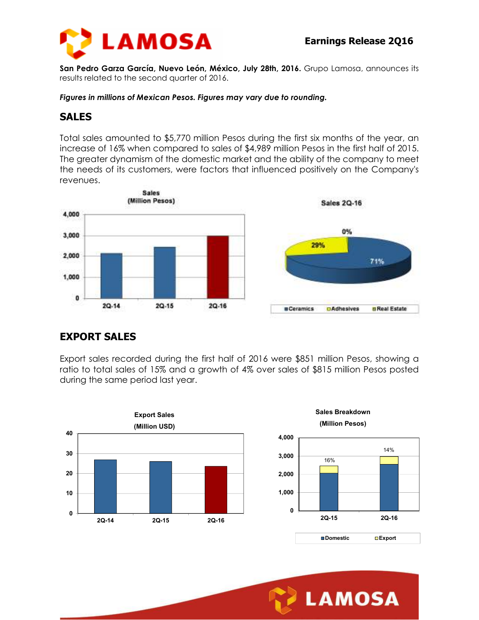

**San Pedro Garza García, Nuevo León, México, July 28th, 2016.** Grupo Lamosa, announces its results related to the second quarter of 2016.

*Figures in millions of Mexican Pesos. Figures may vary due to rounding.* 

### **SALES**

Total sales amounted to \$5,770 million Pesos during the first six months of the year, an increase of 16% when compared to sales of \$4,989 million Pesos in the first half of 2015. The greater dynamism of the domestic market and the ability of the company to meet the needs of its customers, were factors that influenced positively on the Company's revenues.



# **EXPORT SALES**

Export sales recorded during the first half of 2016 were \$851 million Pesos, showing a ratio to total sales of 15% and a growth of 4% over sales of \$815 million Pesos posted during the same period last year.

**4,000**



**Sales Breakdown (Million Pesos)**



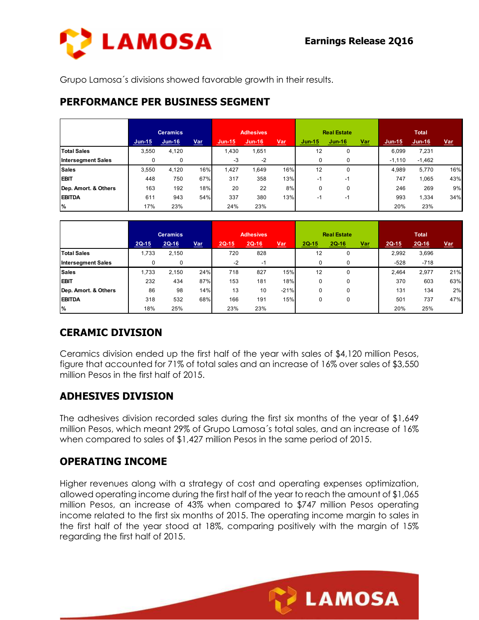

Grupo Lamosa´s divisions showed favorable growth in their results.

### **PERFORMANCE PER BUSINESS SEGMENT**

|                           |          | <b>Ceramics</b> |            |               | <b>Adhesives</b> |            |          | <b>Real Estate</b> |       |          | <b>Total</b> |            |
|---------------------------|----------|-----------------|------------|---------------|------------------|------------|----------|--------------------|-------|----------|--------------|------------|
|                           | $Jun-15$ | $Jun-16$        | <u>Var</u> | <b>Jun-15</b> | $Jun-16$         | <u>Var</u> | $Jun-15$ | $Jun-16$           | $Var$ | $Jun-15$ | $Jun-16$     | <u>Var</u> |
| <b>Total Sales</b>        | 3,550    | 4,120           |            | 1,430         | 1,651            |            | 12       | 0                  |       | 6,099    | 7,231        |            |
| <b>Intersegment Sales</b> |          | 0               |            | $-3$          | $-2$             |            | 0        | 0                  |       | $-1,110$ | $-1,462$     |            |
| <b>Sales</b>              | 3,550    | 4,120           | 16%        | 1,427         | 1,649            | 16%        | 12       | 0                  |       | 4,989    | 5,770        | 16%        |
| <b>EBIT</b>               | 448      | 750             | 67%        | 317           | 358              | 13%        | -1       | $-1$               |       | 747      | 1.065        | 43%        |
| Dep. Amort. & Others      | 163      | 192             | 18%        | 20            | 22               | 8%         | 0        | 0                  |       | 246      | 269          | 9%         |
| <b>EBITDA</b>             | 611      | 943             | 54%        | 337           | 380              | 13%        | -1       | $-1$               |       | 993      | 1,334        | 34%        |
| %                         | 17%      | 23%             |            | 24%           | 23%              |            |          |                    |       | 20%      | 23%          |            |

|                           |         | <b>Ceramics</b> |            | <b>Adhesives</b> |         |            | <b>Real Estate</b> |              |            | <b>Total</b> |         |            |
|---------------------------|---------|-----------------|------------|------------------|---------|------------|--------------------|--------------|------------|--------------|---------|------------|
|                           | $2Q-15$ | $2Q-16$         | <u>Var</u> | $2Q-15$          | $2Q-16$ | <u>Var</u> | 2Q-15              | <b>2Q-16</b> | <u>Var</u> | $2Q-15$      | $2Q-16$ | <u>Var</u> |
| <b>Total Sales</b>        | 1,733   | 2,150           |            | 720              | 828     |            | 12                 | 0            |            | 2,992        | 3,696   |            |
| <b>Intersegment Sales</b> |         | 0               |            | $-2$             | $-1$    |            | 0                  | 0            |            | $-528$       | $-718$  |            |
| <b>Sales</b>              | 1.733   | 2.150           | 24%        | 718              | 827     | 15%        | 12                 | 0            |            | 2.464        | 2,977   | 21%        |
| <b>EBIT</b>               | 232     | 434             | 87%        | 153              | 181     | 18%        | 0                  | 0            |            | 370          | 603     | 63%        |
| Dep. Amort. & Others      | 86      | 98              | 14%        | 13               | 10      | $-21%$     | 0                  | 0            |            | 131          | 134     | 2%         |
| <b>EBITDA</b>             | 318     | 532             | 68%        | 166              | 191     | 15%        | 0                  | 0            |            | 501          | 737     | 47%        |
| %                         | 18%     | 25%             |            | 23%              | 23%     |            |                    |              |            | 20%          | 25%     |            |

# **CERAMIC DIVISION**

Ceramics division ended up the first half of the year with sales of \$4,120 million Pesos, figure that accounted for 71% of total sales and an increase of 16% over sales of \$3,550 million Pesos in the first half of 2015.

# **ADHESIVES DIVISION**

The adhesives division recorded sales during the first six months of the year of \$1,649 million Pesos, which meant 29% of Grupo Lamosa´s total sales, and an increase of 16% when compared to sales of \$1,427 million Pesos in the same period of 2015.

# **OPERATING INCOME**

Higher revenues along with a strategy of cost and operating expenses optimization, allowed operating income during the first half of the year to reach the amount of \$1,065 million Pesos, an increase of 43% when compared to \$747 million Pesos operating income related to the first six months of 2015. The operating income margin to sales in the first half of the year stood at 18%, comparing positively with the margin of 15% regarding the first half of 2015.

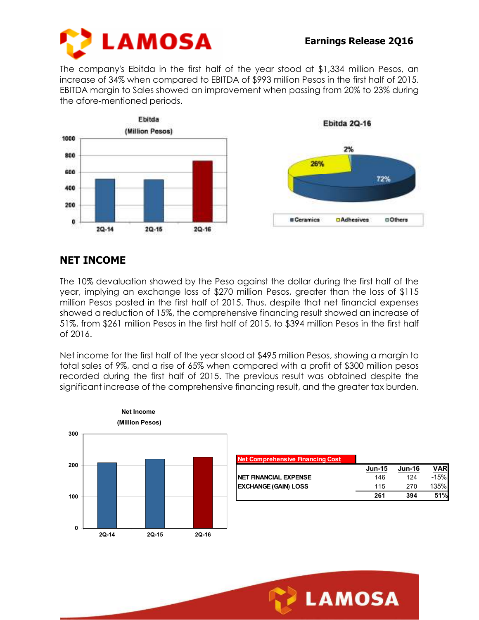

The company's Ebitda in the first half of the year stood at \$1,334 million Pesos, an increase of 34% when compared to EBITDA of \$993 million Pesos in the first half of 2015. EBITDA margin to Sales showed an improvement when passing from 20% to 23% during the afore-mentioned periods.



## **NET INCOME**

The 10% devaluation showed by the Peso against the dollar during the first half of the year, implying an exchange loss of \$270 million Pesos, greater than the loss of \$115 million Pesos posted in the first half of 2015. Thus, despite that net financial expenses showed a reduction of 15%, the comprehensive financing result showed an increase of 51%, from \$261 million Pesos in the first half of 2015, to \$394 million Pesos in the first half of 2016.

Net income for the first half of the year stood at \$495 million Pesos, showing a margin to total sales of 9%, and a rise of 65% when compared with a profit of \$300 million pesos recorded during the first half of 2015. The previous result was obtained despite the significant increase of the comprehensive financing result, and the greater tax burden.



| <b>Net Comprehensive Financing Cost</b> |               |               |            |
|-----------------------------------------|---------------|---------------|------------|
|                                         | <b>Jun-15</b> | <b>Jun-16</b> | <b>VAR</b> |
| NET FINANCIAL EXPENSE                   | 146           | 124           | $-15%$     |
| <b>EXCHANGE (GAIN) LOSS</b>             | 115           | 270           | 135%       |
|                                         | 261           | 394           | 51%        |